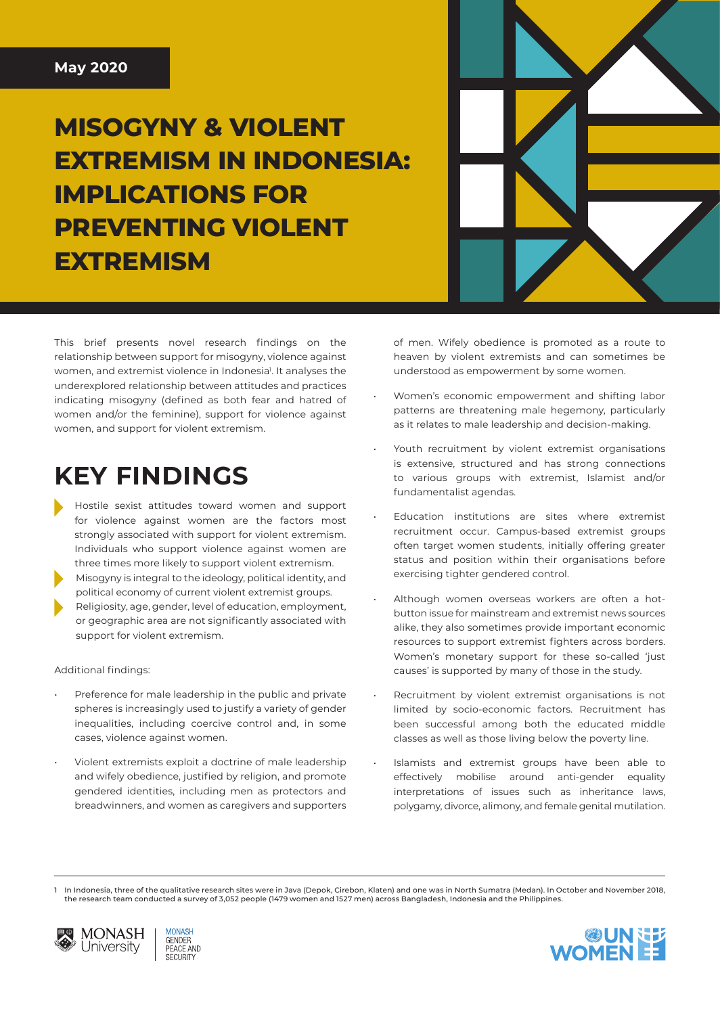**MISOGYNY & VIOLENT EXTREMISM IN INDONESIA: IMPLICATIONS FOR PREVENTING VIOLENT EXTREMISM**

This brief presents novel research findings on the relationship between support for misogyny, violence against women, and extremist violence in Indonesia<sup>1</sup>. It analyses the underexplored relationship between attitudes and practices indicating misogyny (defined as both fear and hatred of women and/or the feminine), support for violence against women, and support for violent extremism.

## **KEY FINDINGS**

- Hostile sexist attitudes toward women and support for violence against women are the factors most strongly associated with support for violent extremism. Individuals who support violence against women are three times more likely to support violent extremism.
- 2. Misogyny is integral to the ideology, political identity, and political economy of current violent extremist groups.
- Religiosity, age, gender, level of education, employment, or geographic area are not significantly associated with support for violent extremism.

#### Additional findings:

- Preference for male leadership in the public and private spheres is increasingly used to justify a variety of gender inequalities, including coercive control and, in some cases, violence against women.
- Violent extremists exploit a doctrine of male leadership and wifely obedience, justified by religion, and promote gendered identities, including men as protectors and breadwinners, and women as caregivers and supporters

of men. Wifely obedience is promoted as a route to heaven by violent extremists and can sometimes be understood as empowerment by some women.

- Women's economic empowerment and shifting labor patterns are threatening male hegemony, particularly as it relates to male leadership and decision-making.
- Youth recruitment by violent extremist organisations is extensive, structured and has strong connections to various groups with extremist, Islamist and/or fundamentalist agendas.
- Education institutions are sites where extremist recruitment occur. Campus-based extremist groups often target women students, initially offering greater status and position within their organisations before exercising tighter gendered control.
- Although women overseas workers are often a hotbutton issue for mainstream and extremist news sources alike, they also sometimes provide important economic resources to support extremist fighters across borders. Women's monetary support for these so-called 'just causes' is supported by many of those in the study.
- Recruitment by violent extremist organisations is not limited by socio-economic factors. Recruitment has been successful among both the educated middle classes as well as those living below the poverty line.
- Islamists and extremist groups have been able to effectively mobilise around anti-gender equality interpretations of issues such as inheritance laws, polygamy, divorce, alimony, and female genital mutilation.

In Indonesia, three of the qualitative research sites were in Java (Depok, Cirebon, Klaten) and one was in North Sumatra (Medan). In October and November 2018, the research team conducted a survey of 3,052 people (1479 women and 1527 men) across Bangladesh, Indonesia and the Philippines.



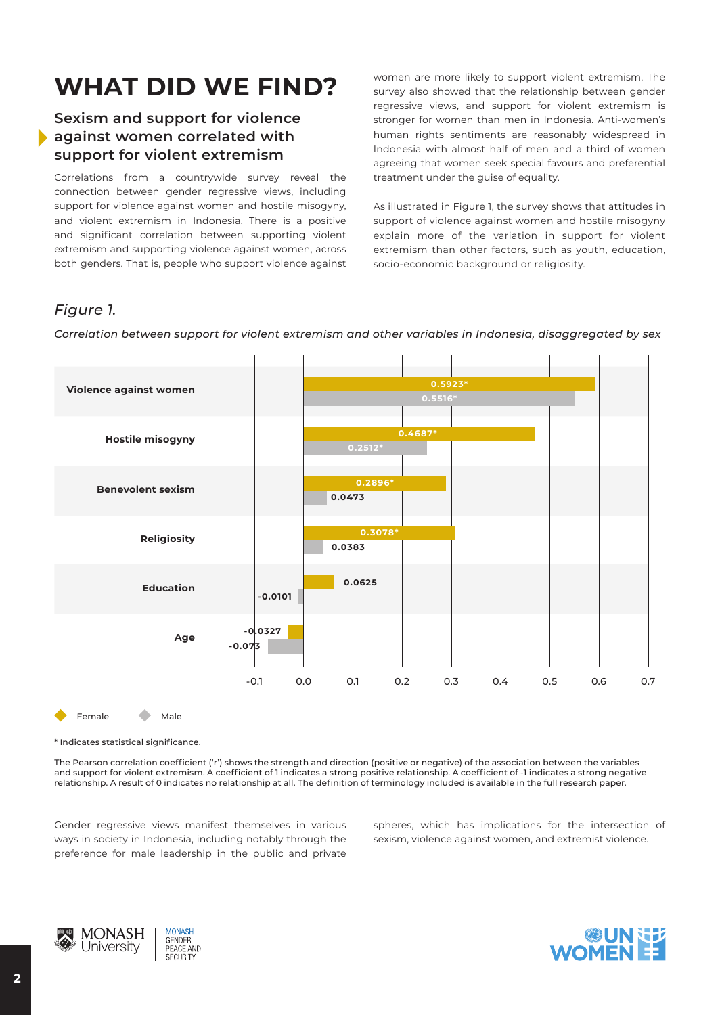# **WHAT DID WE FIND?**

#### **Sexism and support for violence against women correlated with support for violent extremism**

Correlations from a countrywide survey reveal the connection between gender regressive views, including support for violence against women and hostile misogyny, and violent extremism in Indonesia. There is a positive and significant correlation between supporting violent extremism and supporting violence against women, across both genders. That is, people who support violence against women are more likely to support violent extremism. The survey also showed that the relationship between gender regressive views, and support for violent extremism is stronger for women than men in Indonesia. Anti-women's human rights sentiments are reasonably widespread in Indonesia with almost half of men and a third of women agreeing that women seek special favours and preferential treatment under the guise of equality.

As illustrated in Figure 1, the survey shows that attitudes in support of violence against women and hostile misogyny explain more of the variation in support for violent extremism than other factors, such as youth, education, socio-economic background or religiosity.

### *Figure 1.*

*Correlation between support for violent extremism and other variables in Indonesia, disaggregated by sex*



Female Male

\* Indicates statistical significance.

The Pearson correlation coefficient ('r') shows the strength and direction (positive or negative) of the association between the variables and support for violent extremism. A coefficient of 1 indicates a strong positive relationship. A coefficient of -1 indicates a strong negative relationship. A result of 0 indicates no relationship at all. The definition of terminology included is available in the full research paper.

Gender regressive views manifest themselves in various ways in society in Indonesia, including notably through the preference for male leadership in the public and private spheres, which has implications for the intersection of sexism, violence against women, and extremist violence.



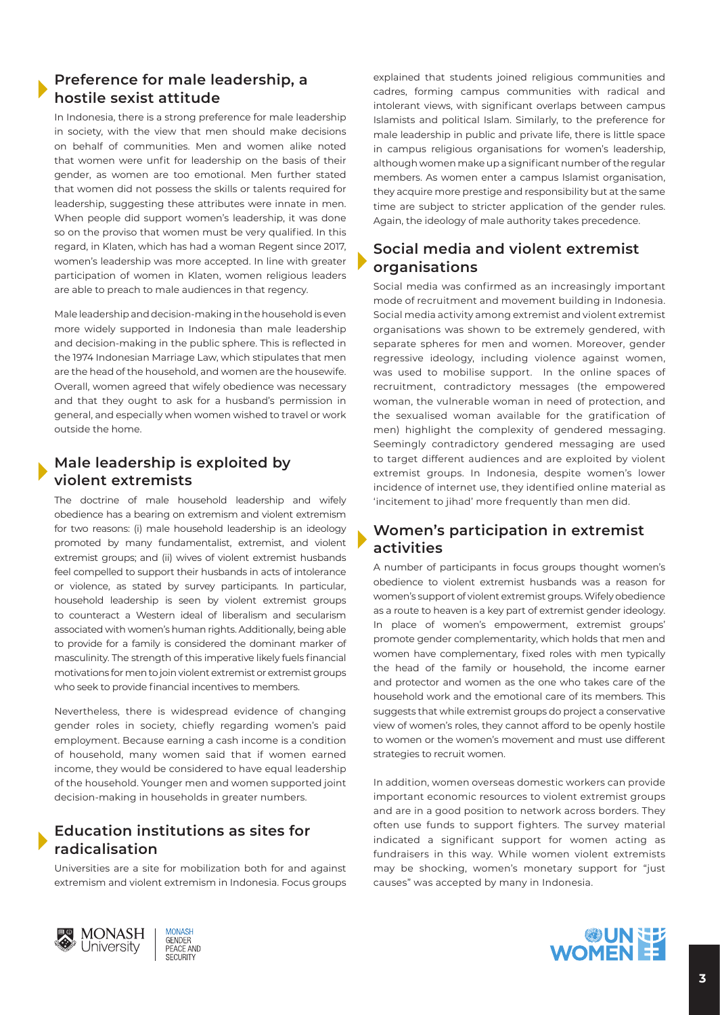#### **Preference for male leadership, a hostile sexist attitude**

In Indonesia, there is a strong preference for male leadership in society, with the view that men should make decisions on behalf of communities. Men and women alike noted that women were unfit for leadership on the basis of their gender, as women are too emotional. Men further stated that women did not possess the skills or talents required for leadership, suggesting these attributes were innate in men. When people did support women's leadership, it was done so on the proviso that women must be very qualified. In this regard, in Klaten, which has had a woman Regent since 2017, women's leadership was more accepted. In line with greater participation of women in Klaten, women religious leaders are able to preach to male audiences in that regency.

Male leadership and decision-making in the household is even more widely supported in Indonesia than male leadership and decision-making in the public sphere. This is reflected in the 1974 Indonesian Marriage Law, which stipulates that men are the head of the household, and women are the housewife. Overall, women agreed that wifely obedience was necessary and that they ought to ask for a husband's permission in general, and especially when women wished to travel or work outside the home.

#### **Male leadership is exploited by violent extremists**

The doctrine of male household leadership and wifely obedience has a bearing on extremism and violent extremism for two reasons: (i) male household leadership is an ideology promoted by many fundamentalist, extremist, and violent extremist groups; and (ii) wives of violent extremist husbands feel compelled to support their husbands in acts of intolerance or violence, as stated by survey participants. In particular, household leadership is seen by violent extremist groups to counteract a Western ideal of liberalism and secularism associated with women's human rights. Additionally, being able to provide for a family is considered the dominant marker of masculinity. The strength of this imperative likely fuels financial motivations for men to join violent extremist or extremist groups who seek to provide financial incentives to members.

Nevertheless, there is widespread evidence of changing gender roles in society, chiefly regarding women's paid employment. Because earning a cash income is a condition of household, many women said that if women earned income, they would be considered to have equal leadership of the household. Younger men and women supported joint decision-making in households in greater numbers.

#### **Education institutions as sites for radicalisation**

Universities are a site for mobilization both for and against extremism and violent extremism in Indonesia. Focus groups explained that students joined religious communities and cadres, forming campus communities with radical and intolerant views, with significant overlaps between campus Islamists and political Islam. Similarly, to the preference for male leadership in public and private life, there is little space in campus religious organisations for women's leadership, although women make up a significant number of the regular members. As women enter a campus Islamist organisation, they acquire more prestige and responsibility but at the same time are subject to stricter application of the gender rules. Again, the ideology of male authority takes precedence.

#### **Social media and violent extremist organisations**

Social media was confirmed as an increasingly important mode of recruitment and movement building in Indonesia. Social media activity among extremist and violent extremist organisations was shown to be extremely gendered, with separate spheres for men and women. Moreover, gender regressive ideology, including violence against women, was used to mobilise support. In the online spaces of recruitment, contradictory messages (the empowered woman, the vulnerable woman in need of protection, and the sexualised woman available for the gratification of men) highlight the complexity of gendered messaging. Seemingly contradictory gendered messaging are used to target different audiences and are exploited by violent extremist groups. In Indonesia, despite women's lower incidence of internet use, they identified online material as 'incitement to jihad' more frequently than men did.

#### **Women's participation in extremist activities**

A number of participants in focus groups thought women's obedience to violent extremist husbands was a reason for women's support of violent extremist groups. Wifely obedience as a route to heaven is a key part of extremist gender ideology. In place of women's empowerment, extremist groups' promote gender complementarity, which holds that men and women have complementary, fixed roles with men typically the head of the family or household, the income earner and protector and women as the one who takes care of the household work and the emotional care of its members. This suggests that while extremist groups do project a conservative view of women's roles, they cannot afford to be openly hostile to women or the women's movement and must use different strategies to recruit women.

In addition, women overseas domestic workers can provide important economic resources to violent extremist groups and are in a good position to network across borders. They often use funds to support fighters. The survey material indicated a significant support for women acting as fundraisers in this way. While women violent extremists may be shocking, women's monetary support for "just causes" was accepted by many in Indonesia.